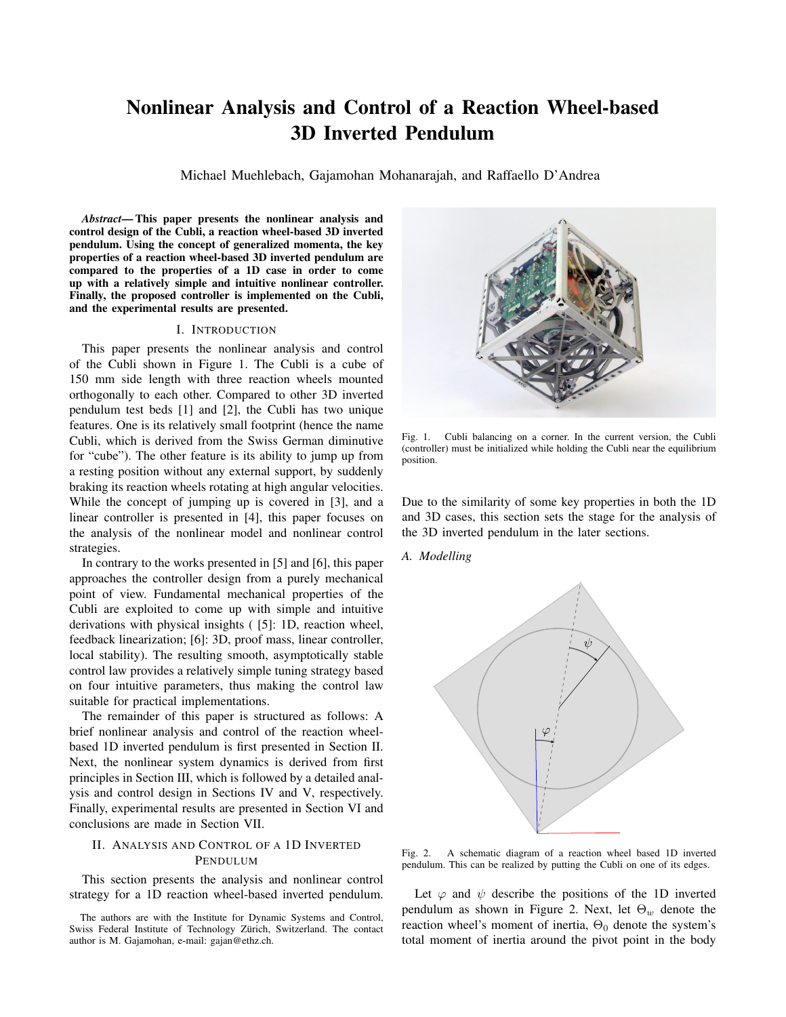# Nonlinear Analysis and Control of a Reaction Wheel-based 3D Inverted Pendulum

Michael Muehlebach, Gajamohan Mohanarajah, and Raffaello D'Andrea

*Abstract*— This paper presents the nonlinear analysis and control design of the Cubli, a reaction wheel-based 3D inverted pendulum. Using the concept of generalized momenta, the key properties of a reaction wheel-based 3D inverted pendulum are compared to the properties of a 1D case in order to come up with a relatively simple and intuitive nonlinear controller. Finally, the proposed controller is implemented on the Cubli, and the experimental results are presented.

## I. INTRODUCTION

This paper presents the nonlinear analysis and control of the Cubli shown in Figure 1. The Cubli is a cube of 150 mm side length with three reaction wheels mounted orthogonally to each other. Compared to other 3D inverted pendulum test beds [1] and [2], the Cubli has two unique features. One is its relatively small footprint (hence the name Cubli, which is derived from the Swiss German diminutive for "cube"). The other feature is its ability to jump up from a resting position without any external support, by suddenly braking its reaction wheels rotating at high angular velocities. While the concept of jumping up is covered in [3], and a linear controller is presented in [4], this paper focuses on the analysis of the nonlinear model and nonlinear control strategies.

In contrary to the works presented in [5] and [6], this paper approaches the controller design from a purely mechanical point of view. Fundamental mechanical properties of the Cubli are exploited to come up with simple and intuitive derivations with physical insights ( [5]: 1D, reaction wheel, feedback linearization; [6]: 3D, proof mass, linear controller, local stability). The resulting smooth, asymptotically stable control law provides a relatively simple tuning strategy based on four intuitive parameters, thus making the control law suitable for practical implementations.

The remainder of this paper is structured as follows: A brief nonlinear analysis and control of the reaction wheelbased 1D inverted pendulum is first presented in Section II. Next, the nonlinear system dynamics is derived from first principles in Section III, which is followed by a detailed analysis and control design in Sections IV and V, respectively. Finally, experimental results are presented in Section VI and conclusions are made in Section VII.

# II. ANALYSIS AND CONTROL OF A 1D INVERTED PENDULUM

This section presents the analysis and nonlinear control strategy for a 1D reaction wheel-based inverted pendulum.



Fig. 1. Cubli balancing on a corner. In the current version, the Cubli (controller) must be initialized while holding the Cubli near the equilibrium position.

Due to the similarity of some key properties in both the 1D and 3D cases, this section sets the stage for the analysis of the 3D inverted pendulum in the later sections.

*A. Modelling*



Fig. 2. A schematic diagram of a reaction wheel based 1D inverted pendulum. This can be realized by putting the Cubli on one of its edges.

Let  $\varphi$  and  $\psi$  describe the positions of the 1D inverted pendulum as shown in Figure 2. Next, let  $\Theta_w$  denote the reaction wheel's moment of inertia,  $\Theta_0$  denote the system's total moment of inertia around the pivot point in the body

The authors are with the Institute for Dynamic Systems and Control, Swiss Federal Institute of Technology Zürich, Switzerland. The contact author is M. Gajamohan, e-mail: gajan@ethz.ch.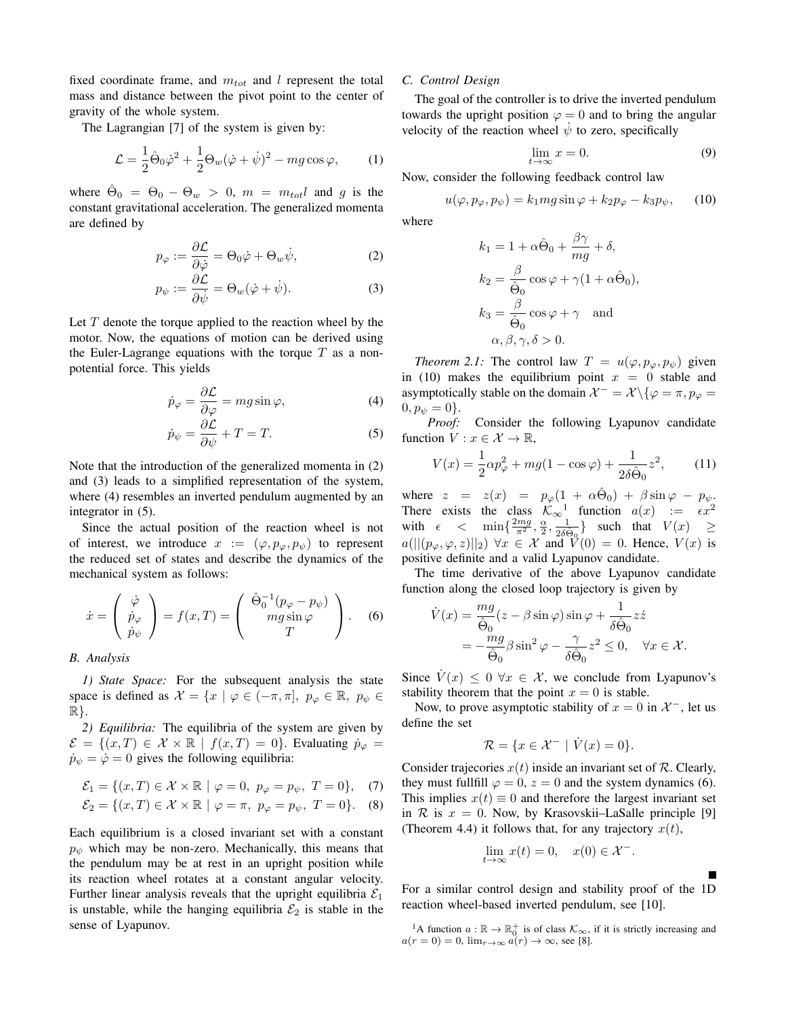fixed coordinate frame, and  $m_{tot}$  and l represent the total mass and distance between the pivot point to the center of gravity of the whole system.

The Lagrangian [7] of the system is given by:

$$
\mathcal{L} = \frac{1}{2}\hat{\Theta}_0\dot{\varphi}^2 + \frac{1}{2}\Theta_w(\dot{\varphi} + \dot{\psi})^2 - mg\cos\varphi,\qquad(1)
$$

where  $\hat{\Theta}_0 = \Theta_0 - \Theta_w > 0$ ,  $m = m_{tot}l$  and g is the constant gravitational acceleration. The generalized momenta are defined by

$$
p_{\varphi} := \frac{\partial \mathcal{L}}{\partial \dot{\varphi}} = \Theta_0 \dot{\varphi} + \Theta_w \dot{\psi}, \tag{2}
$$

$$
p_{\psi} := \frac{\partial \mathcal{L}}{\partial \dot{\psi}} = \Theta_w(\dot{\varphi} + \dot{\psi}). \tag{3}
$$

Let  $T$  denote the torque applied to the reaction wheel by the motor. Now, the equations of motion can be derived using the Euler-Lagrange equations with the torque  $T$  as a nonpotential force. This yields

$$
\dot{p}_{\varphi} = \frac{\partial \mathcal{L}}{\partial \varphi} = mg \sin \varphi, \tag{4}
$$

$$
\dot{p}_{\psi} = \frac{\partial \mathcal{L}}{\partial \psi} + T = T. \tag{5}
$$

Note that the introduction of the generalized momenta in (2) and (3) leads to a simplified representation of the system, where (4) resembles an inverted pendulum augmented by an integrator in (5).

Since the actual position of the reaction wheel is not of interest, we introduce  $x := (\varphi, p_{\varphi}, p_{\psi})$  to represent the reduced set of states and describe the dynamics of the mechanical system as follows:

$$
\dot{x} = \begin{pmatrix} \dot{\varphi} \\ \dot{p}_{\varphi} \\ \dot{p}_{\psi} \end{pmatrix} = f(x, T) = \begin{pmatrix} \hat{\Theta}_0^{-1}(p_{\varphi} - p_{\psi}) \\ mg \sin \varphi \\ T \end{pmatrix}.
$$
 (6)

## *B. Analysis*

*1) State Space:* For the subsequent analysis the state space is defined as  $\mathcal{X} = \{x \mid \varphi \in (-\pi, \pi], p_{\varphi} \in \mathbb{R}, p_{\psi} \in$  $\mathbb{R}$ .

*2) Equilibria:* The equilibria of the system are given by  $\mathcal{E} = \{(x, T) \in \mathcal{X} \times \mathbb{R} \mid f(x, T) = 0\}.$  Evaluating  $\dot{p}_{\varphi} =$  $\dot{p}_{\psi} = \dot{\varphi} = 0$  gives the following equilibria:

$$
\mathcal{E}_1 = \{ (x, T) \in \mathcal{X} \times \mathbb{R} \mid \varphi = 0, \ p_{\varphi} = p_{\psi}, \ T = 0 \}, \tag{7}
$$

$$
\mathcal{E}_2 = \{(x, T) \in \mathcal{X} \times \mathbb{R} \mid \varphi = \pi, \ p_\varphi = p_\psi, \ T = 0\}.
$$
 (8)

Each equilibrium is a closed invariant set with a constant  $p_{\psi}$  which may be non-zero. Mechanically, this means that the pendulum may be at rest in an upright position while its reaction wheel rotates at a constant angular velocity. Further linear analysis reveals that the upright equilibria  $\mathcal{E}_1$ is unstable, while the hanging equilibria  $\mathcal{E}_2$  is stable in the sense of Lyapunov.

## *C. Control Design*

The goal of the controller is to drive the inverted pendulum towards the upright position  $\varphi = 0$  and to bring the angular velocity of the reaction wheel  $\dot{\psi}$  to zero, specifically

$$
\lim_{t \to \infty} x = 0. \tag{9}
$$

Now, consider the following feedback control law

$$
u(\varphi, p_{\varphi}, p_{\psi}) = k_1 mg \sin \varphi + k_2 p_{\varphi} - k_3 p_{\psi}, \qquad (10)
$$

where

$$
k_1 = 1 + \alpha \hat{\Theta}_0 + \frac{\beta \gamma}{mg} + \delta,
$$
  
\n
$$
k_2 = \frac{\beta}{\hat{\Theta}_0} \cos \varphi + \gamma (1 + \alpha \hat{\Theta}_0),
$$
  
\n
$$
k_3 = \frac{\beta}{\hat{\Theta}_0} \cos \varphi + \gamma \text{ and }
$$
  
\n
$$
\alpha, \beta, \gamma, \delta > 0.
$$

*Theorem 2.1:* The control law  $T = u(\varphi, p_{\varphi}, p_{\psi})$  given in (10) makes the equilibrium point  $x = 0$  stable and asymptotically stable on the domain  $\mathcal{X}^- = \mathcal{X} \setminus \{ \varphi = \pi, p_{\varphi} = \varphi \}$  $0, p_{\psi} = 0$ .

*Proof:* Consider the following Lyapunov candidate function  $V: x \in \mathcal{X} \to \mathbb{R}$ ,

$$
V(x) = \frac{1}{2}\alpha p_{\varphi}^{2} + mg(1 - \cos \varphi) + \frac{1}{2\delta \hat{\Theta}_{0}} z^{2},
$$
 (11)

where  $z = z(x) = p_{\varphi}(1 + \alpha \hat{\Theta}_0) + \beta \sin \varphi - p_{\psi}$ . There exists the class  $\mathcal{K}_{\infty}^{-1}$  function  $a(x) := \epsilon x^2$ with  $\epsilon < \min\{\frac{2mg}{\pi^2}, \frac{\alpha}{2}, \frac{1}{2\delta\hat{\Theta}_0}\}\$  such that  $V(x) \ge$  $a(||(p_{\varphi}, \varphi, z)||_2) \,\forall x \in \mathcal{X}$  and  $\check{V}(0) = 0$ . Hence,  $V(x)$  is positive definite and a valid Lyapunov candidate.

The time derivative of the above Lyapunov candidate function along the closed loop trajectory is given by

$$
\dot{V}(x) = \frac{mg}{\hat{\Theta}_0}(z - \beta \sin \varphi) \sin \varphi + \frac{1}{\delta \hat{\Theta}_0} z\dot{z}
$$
  
= 
$$
-\frac{mg}{\hat{\Theta}_0} \beta \sin^2 \varphi - \frac{\gamma}{\delta \hat{\Theta}_0} z^2 \le 0, \quad \forall x \in \mathcal{X}.
$$

Since  $V(x) \leq 0 \ \forall x \in \mathcal{X}$ , we conclude from Lyapunov's stability theorem that the point  $x = 0$  is stable.

Now, to prove asymptotic stability of  $x = 0$  in  $\mathcal{X}^-$ , let us define the set

$$
\mathcal{R} = \{ x \in \mathcal{X}^- \mid \dot{V}(x) = 0 \}.
$$

Consider trajecories  $x(t)$  inside an invariant set of  $R$ . Clearly, they must fullfill  $\varphi = 0$ ,  $z = 0$  and the system dynamics (6). This implies  $x(t) \equiv 0$  and therefore the largest invariant set in R is  $x = 0$ . Now, by Krasovskii–LaSalle principle [9] (Theorem 4.4) it follows that, for any trajectory  $x(t)$ ,

$$
\lim_{t \to \infty} x(t) = 0, \quad x(0) \in \mathcal{X}^-.
$$

For a similar control design and stability proof of the 1D reaction wheel-based inverted pendulum, see [10].

<sup>1</sup>A function  $a : \mathbb{R} \to \mathbb{R}^+_0$  is of class  $\mathcal{K}_{\infty}$ , if it is strictly increasing and  $a(r = 0) = 0$ ,  $\lim_{r \to \infty} a(r) \to \infty$ , see [8].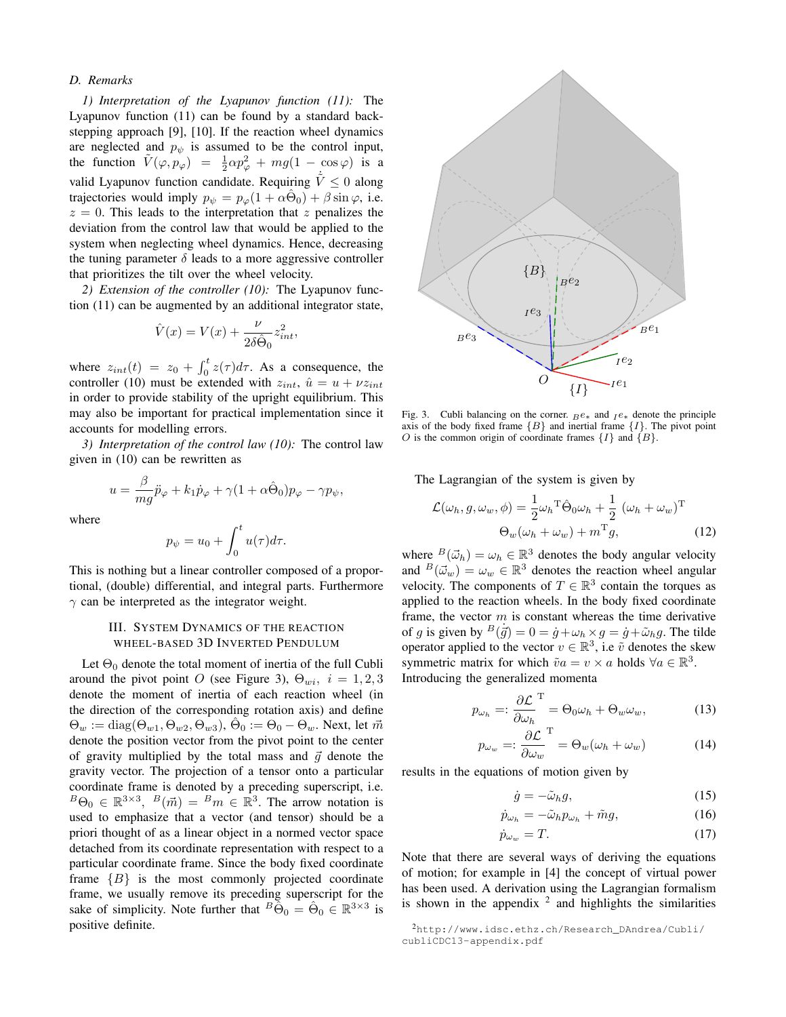## *D. Remarks*

*1) Interpretation of the Lyapunov function (11):* The Lyapunov function (11) can be found by a standard backstepping approach [9], [10]. If the reaction wheel dynamics are neglected and  $p_{\psi}$  is assumed to be the control input, the function  $\tilde{V}(\varphi, p_{\varphi}) = \frac{1}{2}\alpha p_{\varphi}^2 + mg(1 - \cos \varphi)$  is a valid Lyapunov function candidate. Requiring  $\dot{\tilde{V}} \leq 0$  along trajectories would imply  $p_{\psi} = p_{\varphi}(1 + \alpha \hat{\Theta}_0) + \beta \sin \varphi$ , i.e.  $z = 0$ . This leads to the interpretation that z penalizes the deviation from the control law that would be applied to the system when neglecting wheel dynamics. Hence, decreasing the tuning parameter  $\delta$  leads to a more aggressive controller that prioritizes the tilt over the wheel velocity.

*2) Extension of the controller (10):* The Lyapunov function (11) can be augmented by an additional integrator state,

$$
\hat{V}(x) = V(x) + \frac{\nu}{2\delta \hat{\Theta}_0} z_{int}^2,
$$

where  $z_{int}(t) = z_0 + \int_0^t z(\tau) d\tau$ . As a consequence, the controller (10) must be extended with  $z_{int}$ ,  $\hat{u} = u + vz_{int}$ in order to provide stability of the upright equilibrium. This may also be important for practical implementation since it accounts for modelling errors.

*3) Interpretation of the control law (10):* The control law given in (10) can be rewritten as

$$
u = \frac{\beta}{mg}\ddot{p}_{\varphi} + k_1 \dot{p}_{\varphi} + \gamma (1 + \alpha \hat{\Theta}_0) p_{\varphi} - \gamma p_{\psi},
$$

where

$$
p_{\psi} = u_0 + \int_0^t u(\tau) d\tau.
$$

This is nothing but a linear controller composed of a proportional, (double) differential, and integral parts. Furthermore  $\gamma$  can be interpreted as the integrator weight.

# III. SYSTEM DYNAMICS OF THE REACTION WHEEL-BASED 3D INVERTED PENDULUM

Let  $\Theta_0$  denote the total moment of inertia of the full Cubli around the pivot point O (see Figure 3),  $\Theta_{wi}$ ,  $i = 1, 2, 3$ denote the moment of inertia of each reaction wheel (in the direction of the corresponding rotation axis) and define  $\Theta_w := \text{diag}(\Theta_{w1}, \Theta_{w2}, \Theta_{w3}), \hat{\Theta}_0 := \Theta_0 - \Theta_w$ . Next, let  $\vec{m}$ denote the position vector from the pivot point to the center of gravity multiplied by the total mass and  $\vec{q}$  denote the gravity vector. The projection of a tensor onto a particular coordinate frame is denoted by a preceding superscript, i.e.  ${}^B\Theta_0 \in \mathbb{R}^{3 \times 3}$ ,  ${}^B(\vec{m}) = {}^Bm \in \mathbb{R}^3$ . The arrow notation is used to emphasize that a vector (and tensor) should be a priori thought of as a linear object in a normed vector space detached from its coordinate representation with respect to a particular coordinate frame. Since the body fixed coordinate frame  ${B}$  is the most commonly projected coordinate frame, we usually remove its preceding superscript for the sake of simplicity. Note further that  $B\tilde{\Theta}_0 = \hat{\Theta}_0 \in \mathbb{R}^{3 \times 3}$  is positive definite.



Fig. 3. Cubli balancing on the corner.  $Be$ <sup>\*</sup> and  $Ie$ <sup>\*</sup> denote the principle axis of the body fixed frame  ${B}$  and inertial frame  ${I}$ . The pivot point O is the common origin of coordinate frames  $\{I\}$  and  $\{B\}$ .

The Lagrangian of the system is given by

$$
\mathcal{L}(\omega_h, g, \omega_w, \phi) = \frac{1}{2} \omega_h^T \hat{\Theta}_0 \omega_h + \frac{1}{2} (\omega_h + \omega_w)^T
$$

$$
\Theta_w(\omega_h + \omega_w) + m^T g,
$$
(12)

where  $^{B}(\vec{\omega}_{h}) = \omega_{h} \in \mathbb{R}^{3}$  denotes the body angular velocity and  $B(\vec{\omega}_w) = \omega_w \in \mathbb{R}^3$  denotes the reaction wheel angular velocity. The components of  $T \in \mathbb{R}^3$  contain the torques as applied to the reaction wheels. In the body fixed coordinate frame, the vector  $m$  is constant whereas the time derivative of g is given by  $B(\dot{\vec{g}}) = 0 = \dot{g} + \omega_h \times g = \dot{g} + \tilde{\omega}_h g$ . The tilde operator applied to the vector  $v \in \mathbb{R}^3$ , i.e  $\tilde{v}$  denotes the skew symmetric matrix for which  $\tilde{v}a = v \times a$  holds  $\forall a \in \mathbb{R}^3$ . Introducing the generalized momenta

$$
p_{\omega_h} =: \frac{\partial \mathcal{L}}{\partial \omega_h}^{\mathrm{T}} = \Theta_0 \omega_h + \Theta_w \omega_w, \tag{13}
$$

$$
p_{\omega_w} =: \frac{\partial \mathcal{L}}{\partial \omega_w}^{\mathrm{T}} = \Theta_w(\omega_h + \omega_w) \tag{14}
$$

results in the equations of motion given by

$$
\dot{g} = -\tilde{\omega}_h g,\tag{15}
$$

$$
\dot{p}_{\omega_h} = -\tilde{\omega}_h p_{\omega_h} + \tilde{m}g,\tag{16}
$$

$$
\dot{p}_{\omega_w} = T. \tag{17}
$$

Note that there are several ways of deriving the equations of motion; for example in [4] the concept of virtual power has been used. A derivation using the Lagrangian formalism is shown in the appendix  $2$  and highlights the similarities

<sup>2</sup>http://www.idsc.ethz.ch/Research\_DAndrea/Cubli/ cubliCDC13-appendix.pdf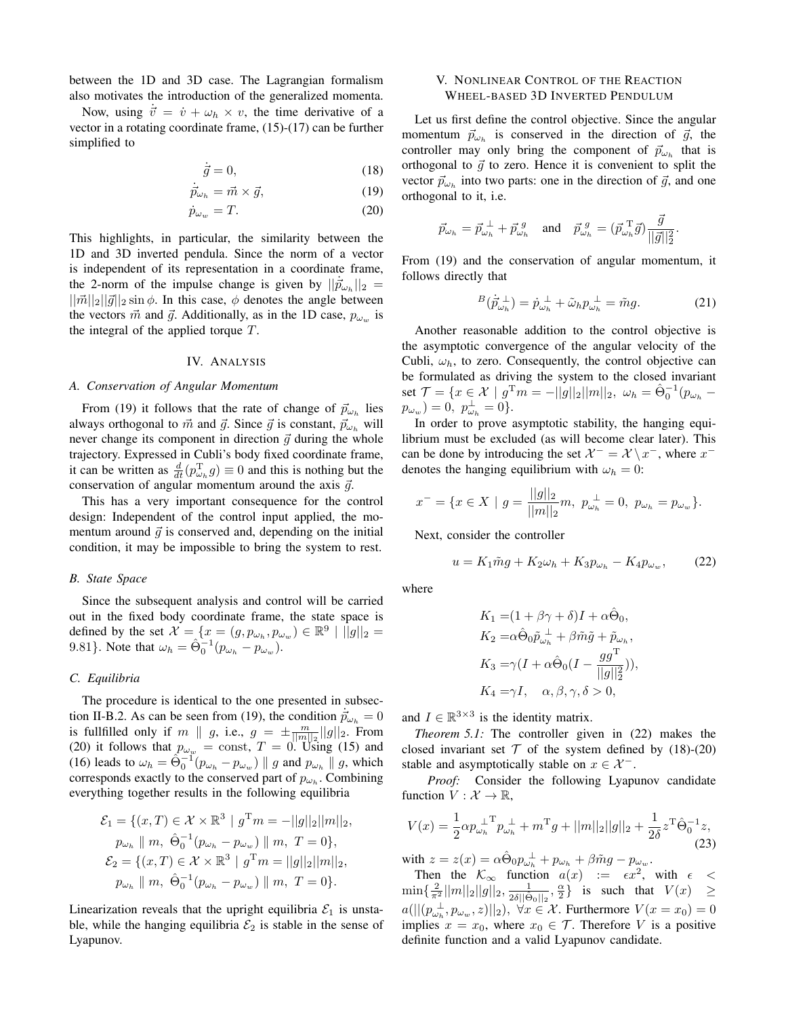between the 1D and 3D case. The Lagrangian formalism also motivates the introduction of the generalized momenta.

Now, using  $\vec{v} = \dot{v} + \omega_h \times v$ , the time derivative of a vector in a rotating coordinate frame, (15)-(17) can be further simplified to

$$
\dot{\vec{g}} = 0,\t(18)
$$

$$
\dot{\vec{p}}_{\omega_h} = \vec{m} \times \vec{g},\tag{19}
$$

$$
\dot{p}_{\omega_w} = T. \tag{20}
$$

This highlights, in particular, the similarity between the 1D and 3D inverted pendula. Since the norm of a vector is independent of its representation in a coordinate frame, the 2-norm of the impulse change is given by  $||\dot{\vec{p}}_{\omega_h}||_2 =$  $||\vec{m}||_2||\vec{g}||_2 \sin \phi$ . In this case,  $\phi$  denotes the angle between the vectors  $\vec{m}$  and  $\vec{g}$ . Additionally, as in the 1D case,  $p_{\omega_w}$  is the integral of the applied torque  $T$ .

#### IV. ANALYSIS

#### *A. Conservation of Angular Momentum*

From (19) it follows that the rate of change of  $\vec{p}_{\omega_h}$  lies always orthogonal to  $\vec{m}$  and  $\vec{g}$ . Since  $\vec{g}$  is constant,  $\vec{p}_{\omega_h}$  will never change its component in direction  $\vec{g}$  during the whole trajectory. Expressed in Cubli's body fixed coordinate frame, it can be written as  $\frac{d}{dt}(p_{\omega_h}^T g) \equiv 0$  and this is nothing but the conservation of angular momentum around the axis  $\vec{g}$ .

This has a very important consequence for the control design: Independent of the control input applied, the momentum around  $\vec{q}$  is conserved and, depending on the initial condition, it may be impossible to bring the system to rest.

### *B. State Space*

Since the subsequent analysis and control will be carried out in the fixed body coordinate frame, the state space is defined by the set  $\mathcal{X} = \{x = (g, p_{\omega_h}, p_{\omega_w}) \in \mathbb{R}^9 \mid ||g||_2 =$ 9.81}. Note that  $\omega_h = \hat{\Theta}_0^{-1} (p_{\omega_h} - p_{\omega_w}).$ 

## *C. Equilibria*

The procedure is identical to the one presented in subsection II-B.2. As can be seen from (19), the condition  $\vec{p}_{\omega_h} = 0$ is fullfilled only if m  $|| g$ , i.e.,  $g = \pm \frac{m}{||m||_2} ||g||_2$ . From (20) it follows that  $p_{\omega_w} = \text{const}, T = 0$ . Using (15) and (16) leads to  $\omega_h = \hat{\Theta}_0^{-1}(p_{\omega_h} - p_{\omega_w}) || g$  and  $p_{\omega_h} || g$ , which corresponds exactly to the conserved part of  $p_{\omega_h}$ . Combining everything together results in the following equilibria

$$
\mathcal{E}_1 = \{ (x, T) \in \mathcal{X} \times \mathbb{R}^3 \mid g^{\mathrm{T}} m = -||g||_2 ||m||_2, p_{\omega_h} || m, \ \hat{\Theta}_0^{-1} (p_{\omega_h} - p_{\omega_w}) || m, T = 0 \}, \n\mathcal{E}_2 = \{ (x, T) \in \mathcal{X} \times \mathbb{R}^3 \mid g^{\mathrm{T}} m = ||g||_2 ||m||_2, \n p_{\omega_h} || m, \ \hat{\Theta}_0^{-1} (p_{\omega_h} - p_{\omega_w}) || m, T = 0 \}.
$$

Linearization reveals that the upright equilibria  $\mathcal{E}_1$  is unstable, while the hanging equilibria  $\mathcal{E}_2$  is stable in the sense of Lyapunov.

## V. NONLINEAR CONTROL OF THE REACTION WHEEL-BASED 3D INVERTED PENDULUM

Let us first define the control objective. Since the angular momentum  $\vec{p}_{\omega_h}$  is conserved in the direction of  $\vec{g}$ , the controller may only bring the component of  $\vec{p}_{\omega_h}$  that is orthogonal to  $\vec{g}$  to zero. Hence it is convenient to split the vector  $\vec{p}_{\omega_h}$  into two parts: one in the direction of  $\vec{g}$ , and one orthogonal to it, i.e.

$$
\vec{p}_{\omega_h} = \vec{p}_{\omega_h}^{\perp} + \vec{p}_{\omega_h}^{\;g} \quad \text{and} \quad \vec{p}_{\omega_h}^{\;g} = (\vec{p}_{\omega_h}^{\;T}\vec{g}) \frac{\vec{g}}{||\vec{g}||_2^2}.
$$

From (19) and the conservation of angular momentum, it follows directly that

$$
B(\dot{\vec{p}}_{\omega_h}^{\perp}) = \dot{p}_{\omega_h}^{\perp} + \tilde{\omega}_h p_{\omega_h}^{\perp} = \tilde{m}g. \tag{21}
$$

Another reasonable addition to the control objective is the asymptotic convergence of the angular velocity of the Cubli,  $\omega_h$ , to zero. Consequently, the control objective can be formulated as driving the system to the closed invariant set  $\mathcal{T} = \{x \in \mathcal{X} \mid g^{\mathrm{T}} m = -||g||_2 ||m||_2, \ \omega_h = \hat{\Theta}_0^{-1} (p_{\omega_h} - p_{\omega_h})\}$  $p_{\omega_w}$ ) = 0,  $p_{\omega_h}^{\perp} = 0$ .

In order to prove asymptotic stability, the hanging equilibrium must be excluded (as will become clear later). This can be done by introducing the set  $\mathcal{X}^- = \mathcal{X} \setminus x^-$ , where  $x^$ denotes the hanging equilibrium with  $\omega_h = 0$ :

$$
x^{-} = \{ x \in X \mid g = \frac{||g||_2}{||m||_2} m, \ p_{\omega_h}^{\perp} = 0, \ p_{\omega_h} = p_{\omega_w} \}.
$$

Next, consider the controller

$$
u = K_1 \tilde{m}g + K_2 \omega_h + K_3 p_{\omega_h} - K_4 p_{\omega_w}, \qquad (22)
$$

where

$$
K_1 = (1 + \beta \gamma + \delta)I + \alpha \hat{\Theta}_0,
$$
  
\n
$$
K_2 = \alpha \hat{\Theta}_0 \tilde{p}_{\omega_h}^{\perp} + \beta \tilde{m}\tilde{g} + \tilde{p}_{\omega_h},
$$
  
\n
$$
K_3 = \gamma (I + \alpha \hat{\Theta}_0 (I - \frac{gg^{\mathrm{T}}}{||g||_2^2})),
$$
  
\n
$$
K_4 = \gamma I, \quad \alpha, \beta, \gamma, \delta > 0,
$$

and  $I \in \mathbb{R}^{3 \times 3}$  is the identity matrix.

*Theorem 5.1:* The controller given in (22) makes the closed invariant set  $T$  of the system defined by (18)-(20) stable and asymptotically stable on  $x \in \mathcal{X}^-$ .

*Proof:* Consider the following Lyapunov candidate function  $V : \mathcal{X} \to \mathbb{R}$ ,

$$
V(x) = \frac{1}{2} \alpha p_{\omega_h}^{\perp T} p_{\omega_h}^{\perp} + m^T g + ||m||_2 ||g||_2 + \frac{1}{2\delta} z^{\text{T}} \hat{\Theta}_0^{-1} z,
$$
  
with  $z = z(x) = \alpha \hat{\Theta}_0 p_{\omega_h}^{\perp} + p_{\omega_h} + \beta \tilde{m} g - p_{\omega_w}.$  (23)

Then the  $\mathcal{K}_{\infty}$  function  $a(x) := \epsilon x^2$ , with  $\epsilon <$ 

 $\min\{\frac{2}{\pi^2}||m||_2||g||_2, \frac{1}{2\delta||\hat{\Theta}_0||_2}, \frac{\alpha}{2}\}$  is such that  $V(x) \ge$  $a(||(p_{\omega_h}^{\perp}, p_{\omega_w}, z)||_2), \ \forall x \in \mathcal{X}$ . Furthermore  $V(x = x_0) = 0$ implies  $x = x_0$ , where  $x_0 \in \mathcal{T}$ . Therefore V is a positive definite function and a valid Lyapunov candidate.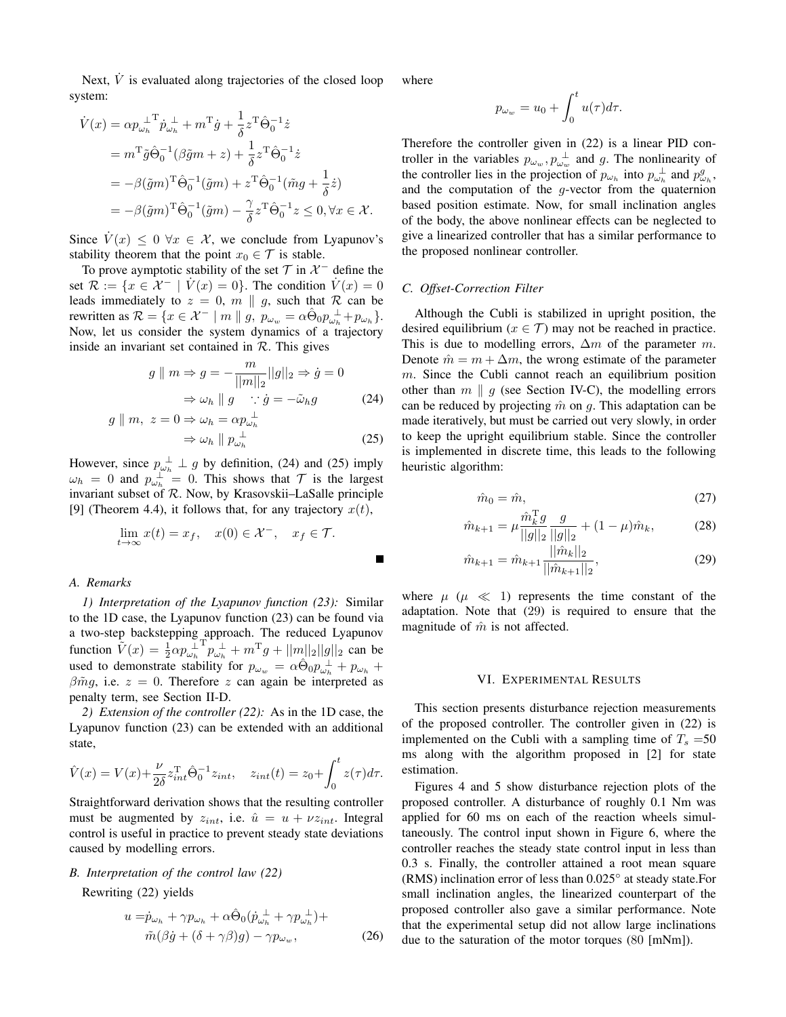Next,  $\dot{V}$  is evaluated along trajectories of the closed loop system:

$$
\dot{V}(x) = \alpha p_{\omega_h}^{\perp T} \dot{p}_{\omega_h}^{\perp} + m^{\mathrm{T}} \dot{g} + \frac{1}{\delta} z^{\mathrm{T}} \hat{\Theta}_0^{-1} \dot{z}
$$
\n
$$
= m^{\mathrm{T}} \tilde{g} \hat{\Theta}_0^{-1} (\beta \tilde{g} m + z) + \frac{1}{\delta} z^{\mathrm{T}} \hat{\Theta}_0^{-1} \dot{z}
$$
\n
$$
= -\beta (\tilde{g} m)^{\mathrm{T}} \hat{\Theta}_0^{-1} (\tilde{g} m) + z^{\mathrm{T}} \hat{\Theta}_0^{-1} (\tilde{m} g + \frac{1}{\delta} \dot{z})
$$
\n
$$
= -\beta (\tilde{g} m)^{\mathrm{T}} \hat{\Theta}_0^{-1} (\tilde{g} m) - \frac{\gamma}{\delta} z^{\mathrm{T}} \hat{\Theta}_0^{-1} z \le 0, \forall x \in \mathcal{X}.
$$

Since  $V(x) \leq 0 \ \forall x \in \mathcal{X}$ , we conclude from Lyapunov's stability theorem that the point  $x_0 \in \mathcal{T}$  is stable.

To prove aymptotic stability of the set  $\mathcal T$  in  $\mathcal X^-$  define the set  $\mathcal{R} := \{x \in \mathcal{X}^- \mid V(x) = 0\}$ . The condition  $V(x) = 0$ leads immediately to  $z = 0$ ,  $m \parallel g$ , such that R can be rewritten as  $\mathcal{R} = \{x \in \mathcal{X}^- \mid m \parallel g, p_{\omega_w} = \alpha \hat{\Theta}_0 p_{\omega_h}^{\perp} + p_{\omega_h}\}.$ Now, let us consider the system dynamics of a trajectory inside an invariant set contained in  $\mathcal{R}$ . This gives

$$
g \parallel m \Rightarrow g = -\frac{m}{||m||_2} ||g||_2 \Rightarrow \dot{g} = 0
$$

$$
\Rightarrow \omega_h \parallel g \quad \therefore \dot{g} = -\tilde{\omega}_h g \tag{24}
$$

$$
g \parallel m, \ z = 0 \Rightarrow \omega_h = \alpha p_{\omega_h}^{\perp}
$$
  

$$
\Rightarrow \omega_h \parallel p_{\omega_h}^{\perp}
$$
 (25)

However, since  $p_{\omega_h}^{\perp} \perp g$  by definition, (24) and (25) imply  $\omega_h = 0$  and  $p_{\omega_h}^{\perp} = 0$ . This shows that  $\mathcal T$  is the largest invariant subset of R. Now, by Krasovskii–LaSalle principle [9] (Theorem 4.4), it follows that, for any trajectory  $x(t)$ ,

$$
\lim_{t \to \infty} x(t) = x_f, \quad x(0) \in \mathcal{X}^-, \quad x_f \in \mathcal{T}.
$$

## *A. Remarks*

*1) Interpretation of the Lyapunov function (23):* Similar to the 1D case, the Lyapunov function (23) can be found via a two-step backstepping approach. The reduced Lyapunov function  $\tilde{V}(x) = \frac{1}{2} \alpha p_{\omega_h}^{\perp}$  $T_{p_{\omega_h}^{\perp}}^T + m^{\mathrm{T}}g + ||m||_2||g||_2$  can be used to demonstrate stability for  $p_{\omega_w} = \alpha \hat{\Theta}_0 p_{\omega_h}^{\perp} + p_{\omega_h}$  $\beta \tilde{m}g$ , i.e.  $z = 0$ . Therefore z can again be interpreted as penalty term, see Section II-D.

*2) Extension of the controller (22):* As in the 1D case, the Lyapunov function (23) can be extended with an additional state,

$$
\hat{V}(x) = V(x) + \frac{\nu}{2\delta} z_{int}^{\mathrm{T}} \hat{\Theta}_0^{-1} z_{int}, \quad z_{int}(t) = z_0 + \int_0^t z(\tau) d\tau.
$$

Straightforward derivation shows that the resulting controller must be augmented by  $z_{int}$ , i.e.  $\hat{u} = u + \nu z_{int}$ . Integral control is useful in practice to prevent steady state deviations caused by modelling errors.

# *B. Interpretation of the control law (22)*

Rewriting (22) yields

$$
u = \dot{p}_{\omega_h} + \gamma p_{\omega_h} + \alpha \hat{\Theta}_0 (\dot{p}_{\omega_h}^{\perp} + \gamma p_{\omega_h}^{\perp}) +
$$
  

$$
\tilde{m}(\beta \dot{g} + (\delta + \gamma \beta)g) - \gamma p_{\omega_w},
$$
 (26)

where

$$
p_{\omega_w} = u_0 + \int_0^t u(\tau) d\tau.
$$

Therefore the controller given in (22) is a linear PID controller in the variables  $p_{\omega_w}, p_{\omega_w}^{\perp}$  and g. The nonlinearity of the controller lies in the projection of  $p_{\omega_h}$  into  $p_{\omega_h}^{\perp}$  and  $p_{\omega_h}^g$ , and the computation of the  $g$ -vector from the quaternion based position estimate. Now, for small inclination angles of the body, the above nonlinear effects can be neglected to give a linearized controller that has a similar performance to the proposed nonlinear controller.

## *C. Offset-Correction Filter*

Although the Cubli is stabilized in upright position, the desired equilibrium ( $x \in \mathcal{T}$ ) may not be reached in practice. This is due to modelling errors,  $\Delta m$  of the parameter m. Denote  $\hat{m} = m + \Delta m$ , the wrong estimate of the parameter  $m$ . Since the Cubli cannot reach an equilibrium position other than  $m \parallel g$  (see Section IV-C), the modelling errors can be reduced by projecting  $\hat{m}$  on g. This adaptation can be made iteratively, but must be carried out very slowly, in order to keep the upright equilibrium stable. Since the controller is implemented in discrete time, this leads to the following heuristic algorithm:

$$
\hat{m}_0 = \hat{m},\tag{27}
$$

$$
\hat{m}_{k+1} = \mu \frac{\hat{m}_k^{\mathrm{T}} g}{||g||_2} \frac{g}{||g||_2} + (1 - \mu)\hat{m}_k, \tag{28}
$$

$$
\hat{m}_{k+1} = \hat{m}_{k+1} \frac{||\hat{m}_k||_2}{||\hat{m}_{k+1}||_2},\tag{29}
$$

where  $\mu$  ( $\mu \ll 1$ ) represents the time constant of the adaptation. Note that (29) is required to ensure that the magnitude of  $\hat{m}$  is not affected.

#### VI. EXPERIMENTAL RESULTS

This section presents disturbance rejection measurements of the proposed controller. The controller given in (22) is implemented on the Cubli with a sampling time of  $T_s = 50$ ms along with the algorithm proposed in [2] for state estimation.

Figures 4 and 5 show disturbance rejection plots of the proposed controller. A disturbance of roughly 0.1 Nm was applied for 60 ms on each of the reaction wheels simultaneously. The control input shown in Figure 6, where the controller reaches the steady state control input in less than 0.3 s. Finally, the controller attained a root mean square (RMS) inclination error of less than 0.025◦ at steady state.For small inclination angles, the linearized counterpart of the proposed controller also gave a similar performance. Note that the experimental setup did not allow large inclinations due to the saturation of the motor torques (80 [mNm]).